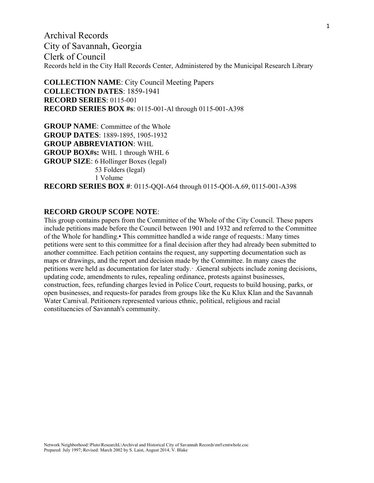Archival Records City of Savannah, Georgia Clerk of Council Records held in the City Hall Records Center, Administered by the Municipal Research Library

**COLLECTION NAME**: City Council Meeting Papers **COLLECTION DATES**: 1859-1941 **RECORD SERIES**: 0115-001 **RECORD SERIES BOX #s**: 0115-001-Al through 0115-001-A398

**GROUP NAME**: Committee of the Whole **GROUP DATES**: 1889-1895, 1905-1932 **GROUP ABBREVIATION**: WHL **GROUP BOX#s:** WHL 1 through WHL 6 **GROUP SIZE**: 6 Hollinger Boxes (legal) 53 Folders (legal) 1 Volume **RECORD SERIES BOX #**: 0115-QQI-A64 through 0115-QOI-A.69, 0115-001-A398

### **RECORD GROUP SCOPE NOTE**:

This group contains papers from the Committee of the Whole of the City Council. These papers include petitions made before the Council between 1901 and 1932 and referred to the Committee of the Whole for handling.• This committee handled a wide range of requests.: Many times petitions were sent to this committee for a final decision after they had already been submitted to another committee. Each petition contains the request, any supporting documentation such as maps or drawings, and the report and decision made by the Committee. In many cases the petitions were held as documentation for later study.· .General subjects include zoning decisions, updating code, amendments to rules, repealing ordinance, protests against businesses, construction, fees, refunding charges levied in Police Court, requests to build housing, parks, or open businesses, and requests-for parades from groups like the Ku Klux Klan and the Savannah Water Carnival. Petitioners represented various ethnic, political, religious and racial constituencies of Savannah's community.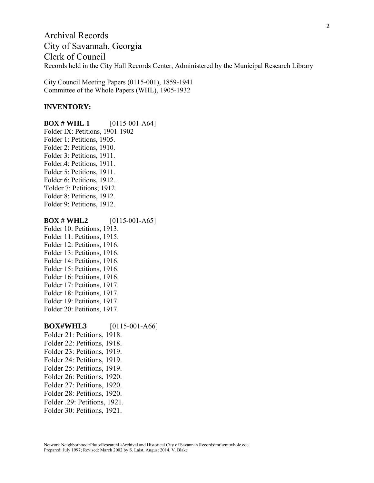Archival Records City of Savannah, Georgia Clerk of Council Records held in the City Hall Records Center, Administered by the Municipal Research Library

City Council Meeting Papers (0115-001), 1859-1941 Committee of the Whole Papers (WHL), 1905-1932

#### **INVENTORY:**

**BOX # WHL 1** [0115-001-A64] Folder IX: Petitions, 1901-1902 Folder 1: Petitions, 1905. Folder 2: Petitions, 1910. Folder 3: Petitions, 1911. Folder.4: Petitions, 1911. Folder 5: Petitions, 1911. Folder 6: Petitions, 1912.. 'Folder 7: Petitions; 1912. Folder 8: Petitions, 1912. Folder 9: Petitions, 1912.

#### **BOX # WHL2** [0115-001-A65] Folder 10: Petitions, 1913. Folder 11: Petitions, 1915. Folder 12: Petitions, 1916.

Folder 13: Petitions, 1916. Folder 14: Petitions, 1916. Folder 15: Petitions, 1916. Folder 16: Petitions, 1916. Folder 17: Petitions, 1917. Folder 18: Petitions, 1917. Folder 19: Petitions, 1917. Folder 20: Petitions, 1917.

#### **BOX#WHL3** [0115-001-A66]

Folder 21: Petitions, 1918. Folder 22: Petitions, 1918. Folder 23: Petitions, 1919. Folder 24: Petitions, 1919. Folder 25: Petitions, 1919. Folder 26: Petitions, 1920. Folder 27: Petitions, 1920. Folder 28: Petitions, 1920. Folder .29: Petitions, 1921. Folder 30: Petitions, 1921.